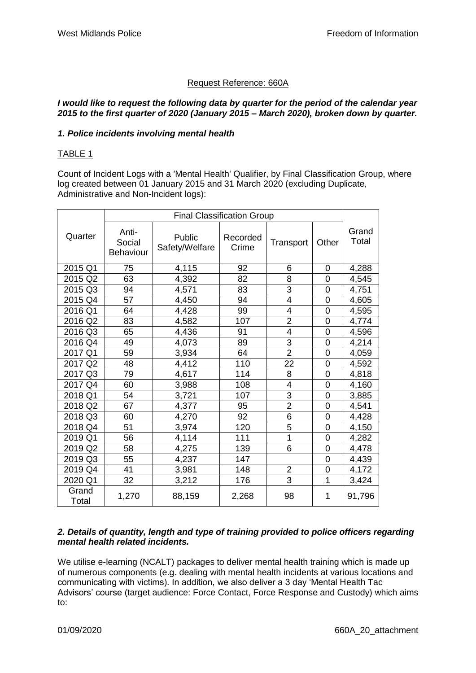# Request Reference: 660A

#### *I would like to request the following data by quarter for the period of the calendar year 2015 to the first quarter of 2020 (January 2015 – March 2020), broken down by quarter.*

## *1. Police incidents involving mental health*

## TABLE 1

Count of Incident Logs with a 'Mental Health' Qualifier, by Final Classification Group, where log created between 01 January 2015 and 31 March 2020 (excluding Duplicate, Administrative and Non-Incident logs):

|                | <b>Final Classification Group</b>   |                          |                   |                         |                |                |
|----------------|-------------------------------------|--------------------------|-------------------|-------------------------|----------------|----------------|
| Quarter        | Anti-<br>Social<br><b>Behaviour</b> | Public<br>Safety/Welfare | Recorded<br>Crime | Transport               | Other          | Grand<br>Total |
| 2015 Q1        | 75                                  | 4,115                    | 92                | 6                       | $\overline{0}$ | 4,288          |
| 2015 Q2        | 63                                  | 4,392                    | 82                | 8                       | $\overline{0}$ | 4,545          |
| 2015 Q3        | 94                                  | 4,571                    | 83                | 3                       | 0              | 4,751          |
| 2015 Q4        | 57                                  | 4,450                    | 94                | $\overline{\mathbf{4}}$ | $\overline{0}$ | 4,605          |
| 2016 Q1        | 64                                  | 4,428                    | 99                | 4                       | $\overline{0}$ | 4,595          |
| 2016 Q2        | 83                                  | 4,582                    | 107               | $\overline{2}$          | $\mathbf 0$    | 4,774          |
| 2016 Q3        | 65                                  | 4,436                    | 91                | 4                       | 0              | 4,596          |
| 2016 Q4        | 49                                  | 4,073                    | 89                | 3                       | 0              | 4,214          |
| 2017 Q1        | 59                                  | 3,934                    | 64                | $\overline{2}$          | 0              | 4,059          |
| 2017 Q2        | 48                                  | 4,412                    | 110               | 22                      | $\overline{0}$ | 4,592          |
| 2017 Q3        | 79                                  | 4,617                    | 114               | 8                       | 0              | 4,818          |
| 2017 Q4        | 60                                  | 3,988                    | 108               | 4                       | 0              | 4,160          |
| 2018 Q1        | 54                                  | 3,721                    | 107               | 3                       | $\overline{0}$ | 3,885          |
| 2018 Q2        | 67                                  | 4,377                    | 95                | $\overline{2}$          | 0              | 4,541          |
| 2018 Q3        | 60                                  | 4,270                    | 92                | $\overline{6}$          | 0              | 4,428          |
| 2018 Q4        | 51                                  | 3,974                    | 120               | 5                       | $\overline{0}$ | 4,150          |
| 2019 Q1        | 56                                  | 4,114                    | 111               | 1                       | $\overline{0}$ | 4,282          |
| 2019 Q2        | 58                                  | 4,275                    | 139               | 6                       | 0              | 4,478          |
| 2019 Q3        | 55                                  | 4,237                    | 147               |                         | $\overline{0}$ | 4,439          |
| 2019 Q4        | 41                                  | 3,981                    | 148               | $\overline{\mathbf{c}}$ | 0              | 4,172          |
| 2020 Q1        | 32                                  | 3,212                    | 176               | $\overline{3}$          | 1              | 3,424          |
| Grand<br>Total | 1,270                               | 88,159                   | 2,268             | 98                      | 1              | 91,796         |

#### *2. Details of quantity, length and type of training provided to police officers regarding mental health related incidents.*

We utilise e-learning (NCALT) packages to deliver mental health training which is made up of numerous components (e.g. dealing with mental health incidents at various locations and communicating with victims). In addition, we also deliver a 3 day 'Mental Health Tac Advisors' course (target audience: Force Contact, Force Response and Custody) which aims to: